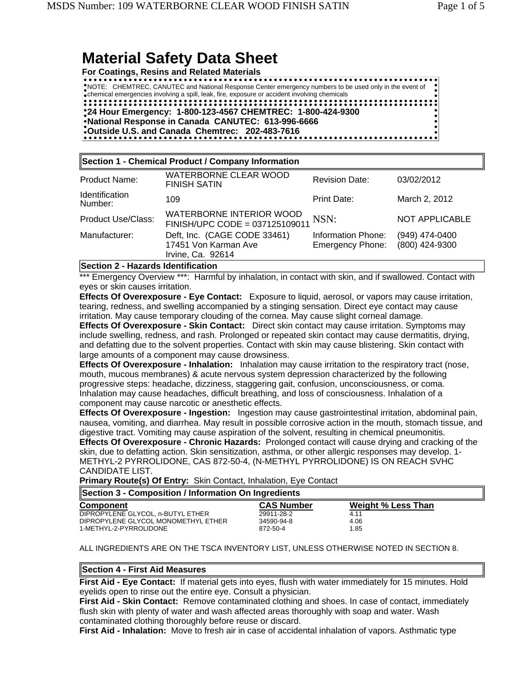# **Material Safety Data Sheet**

**For Coatings, Resins and Related Materials**

. . . . . . . . . . . . . . . . . . NOTE: CHEMTREC, CANUTEC and National Response Center emergency numbers to be used only in the event of chemical emergencies involving a spill, leak, fire, exposure or accident involving chemicals **24 Hour Emergency: 1-800-123-4567 CHEMTREC: 1-800-424-9300 National Response in Canada CANUTEC: 613-996-6666 Outside U.S. and Canada Chemtrec: 202-483-7616**

| Section 1 - Chemical Product / Company Information |                                                                           |                                               |                                  |  |
|----------------------------------------------------|---------------------------------------------------------------------------|-----------------------------------------------|----------------------------------|--|
| Product Name:                                      | <b>WATERBORNE CLEAR WOOD</b><br><b>FINISH SATIN</b>                       | <b>Revision Date:</b>                         | 03/02/2012                       |  |
| <b>Identification</b><br>Number:                   | 109                                                                       | Print Date:                                   | March 2, 2012                    |  |
| <b>Product Use/Class:</b>                          | WATERBORNE INTERIOR WOOD<br>FINISH/UPC CODE = 037125109011                | NSN:                                          | NOT APPLICABLE                   |  |
| Manufacturer:                                      | Deft, Inc. (CAGE CODE 33461)<br>17451 Von Karman Ave<br>Irvine, Ca. 92614 | Information Phone:<br><b>Emergency Phone:</b> | (949) 474-0400<br>(800) 424-9300 |  |

## **Section 2 - Hazards Identification**

\*\*\* Emergency Overview \*\*\*: Harmful by inhalation, in contact with skin, and if swallowed. Contact with eyes or skin causes irritation.

**Effects Of Overexposure - Eye Contact:** Exposure to liquid, aerosol, or vapors may cause irritation, tearing, redness, and swelling accompanied by a stinging sensation. Direct eye contact may cause irritation. May cause temporary clouding of the cornea. May cause slight corneal damage.

**Effects Of Overexposure - Skin Contact:** Direct skin contact may cause irritation. Symptoms may include swelling, redness, and rash. Prolonged or repeated skin contact may cause dermatitis, drying, and defatting due to the solvent properties. Contact with skin may cause blistering. Skin contact with large amounts of a component may cause drowsiness.

**Effects Of Overexposure - Inhalation:** Inhalation may cause irritation to the respiratory tract (nose, mouth, mucous membranes) & acute nervous system depression characterized by the following progressive steps: headache, dizziness, staggering gait, confusion, unconsciousness, or coma. Inhalation may cause headaches, difficult breathing, and loss of consciousness. Inhalation of a component may cause narcotic or anesthetic effects.

**Effects Of Overexposure - Ingestion:** Ingestion may cause gastrointestinal irritation, abdominal pain, nausea, vomiting, and diarrhea. May result in possible corrosive action in the mouth, stomach tissue, and digestive tract. Vomiting may cause aspiration of the solvent, resulting in chemical pneumonitis. **Effects Of Overexposure - Chronic Hazards:** Prolonged contact will cause drying and cracking of the skin, due to defatting action. Skin sensitization, asthma, or other allergic responses may develop. 1- METHYL-2 PYRROLIDONE, CAS 872-50-4, (N-METHYL PYRROLIDONE) IS ON REACH SVHC CANDIDATE LIST.

**Primary Route(s) Of Entry:** Skin Contact, Inhalation, Eye Contact

| Section 3 - Composition / Information On Ingredients |                   |                           |  |
|------------------------------------------------------|-------------------|---------------------------|--|
| <b>Component</b>                                     | <b>CAS Number</b> | <b>Weight % Less Than</b> |  |
| DIPROPYLENE GLYCOL. n-BUTYL ETHER                    | 29911-28-2        | 4.11                      |  |
| DIPROPYLENE GLYCOL MONOMETHYL ETHER                  | 34590-94-8        | 4.06                      |  |
| 1-METHYL-2-PYRROLIDONE                               | 872-50-4          | 1.85                      |  |

ALL INGREDIENTS ARE ON THE TSCA INVENTORY LIST, UNLESS OTHERWISE NOTED IN SECTION 8.

# **Section 4 - First Aid Measures**

**First Aid - Eye Contact:** If material gets into eyes, flush with water immediately for 15 minutes. Hold eyelids open to rinse out the entire eye. Consult a physician.

**First Aid - Skin Contact:** Remove contaminated clothing and shoes. In case of contact, immediately flush skin with plenty of water and wash affected areas thoroughly with soap and water. Wash contaminated clothing thoroughly before reuse or discard.

**First Aid - Inhalation:** Move to fresh air in case of accidental inhalation of vapors. Asthmatic type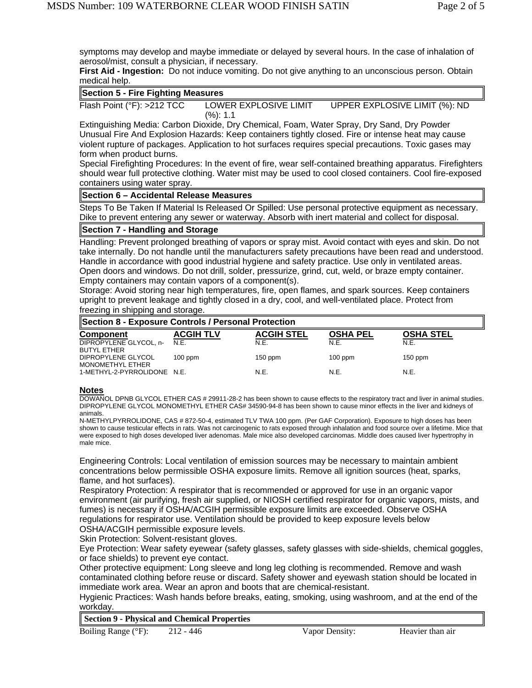symptoms may develop and maybe immediate or delayed by several hours. In the case of inhalation of aerosol/mist, consult a physician, if necessary.

**First Aid - Ingestion:** Do not induce vomiting. Do not give anything to an unconscious person. Obtain medical help.

|  |  |  | <b>Section 5 - Fire Fighting Measures</b> |
|--|--|--|-------------------------------------------|
|--|--|--|-------------------------------------------|

Flash Point (°F): >212 TCC LOWER EXPLOSIVE LIMIT (%): 1.1 UPPER EXPLOSIVE LIMIT (%): ND

Extinguishing Media: Carbon Dioxide, Dry Chemical, Foam, Water Spray, Dry Sand, Dry Powder Unusual Fire And Explosion Hazards: Keep containers tightly closed. Fire or intense heat may cause violent rupture of packages. Application to hot surfaces requires special precautions. Toxic gases may form when product burns.

Special Firefighting Procedures: In the event of fire, wear self-contained breathing apparatus. Firefighters should wear full protective clothing. Water mist may be used to cool closed containers. Cool fire-exposed containers using water spray.

## **Section 6 – Accidental Release Measures**

Steps To Be Taken If Material Is Released Or Spilled: Use personal protective equipment as necessary. Dike to prevent entering any sewer or waterway. Absorb with inert material and collect for disposal.

# **Section 7 - Handling and Storage**

Handling: Prevent prolonged breathing of vapors or spray mist. Avoid contact with eyes and skin. Do not take internally. Do not handle until the manufacturers safety precautions have been read and understood. Handle in accordance with good industrial hygiene and safety practice. Use only in ventilated areas. Open doors and windows. Do not drill, solder, pressurize, grind, cut, weld, or braze empty container. Empty containers may contain vapors of a component(s).

Storage: Avoid storing near high temperatures, fire, open flames, and spark sources. Keep containers upright to prevent leakage and tightly closed in a dry, cool, and well-ventilated place. Protect from freezing in shipping and storage.

| Section 8 - Exposure Controls / Personal Protection |                  |                   |                 |                  |
|-----------------------------------------------------|------------------|-------------------|-----------------|------------------|
| <b>Component</b>                                    | <b>ACGIH TLV</b> | <b>ACGIH STEL</b> | <b>OSHA PEL</b> | <b>OSHA STEL</b> |
| DIPROPYLENE GLYCOL, n-<br><b>BUTYL ETHER</b>        | N.E.             | N.E.              | N.E.            | N.E.             |
| DIPROPYLENE GLYCOL<br><b>MONOMETHYL ETHER</b>       | $100$ ppm        | $150$ ppm         | $100$ ppm       | $150$ ppm        |
| 1-METHYL-2-PYRROLIDONE N.E.                         |                  | N.E.              | N.E.            | N.E.             |

#### **Notes**

DOWANOL DPNB GLYCOL ETHER CAS # 29911-28-2 has been shown to cause effects to the respiratory tract and liver in animal studies. DIPROPYLENE GLYCOL MONOMETHYL ETHER CAS# 34590-94-8 has been shown to cause minor effects in the liver and kidneys of animals.

N-METHYLPYRROLIDONE, CAS # 872-50-4, estimated TLV TWA 100 ppm. (Per GAF Corporation). Exposure to high doses has been shown to cause testicular effects in rats. Was not carcinogenic to rats exposed through inhalation and food source over a lifetime. Mice that were exposed to high doses developed liver adenomas. Male mice also developed carcinomas. Middle does caused liver hypertrophy in male mice.

Engineering Controls: Local ventilation of emission sources may be necessary to maintain ambient concentrations below permissible OSHA exposure limits. Remove all ignition sources (heat, sparks, flame, and hot surfaces).

Respiratory Protection: A respirator that is recommended or approved for use in an organic vapor environment (air purifying, fresh air supplied, or NIOSH certified respirator for organic vapors, mists, and fumes) is necessary if OSHA/ACGIH permissible exposure limits are exceeded. Observe OSHA regulations for respirator use. Ventilation should be provided to keep exposure levels below OSHA/ACGIH permissible exposure levels.

Skin Protection: Solvent-resistant gloves.

Eye Protection: Wear safety eyewear (safety glasses, safety glasses with side-shields, chemical goggles, or face shields) to prevent eye contact.

Other protective equipment: Long sleeve and long leg clothing is recommended. Remove and wash contaminated clothing before reuse or discard. Safety shower and eyewash station should be located in immediate work area. Wear an apron and boots that are chemical-resistant.

Hygienic Practices: Wash hands before breaks, eating, smoking, using washroom, and at the end of the workday.

**Section 9 - Physical and Chemical Properties**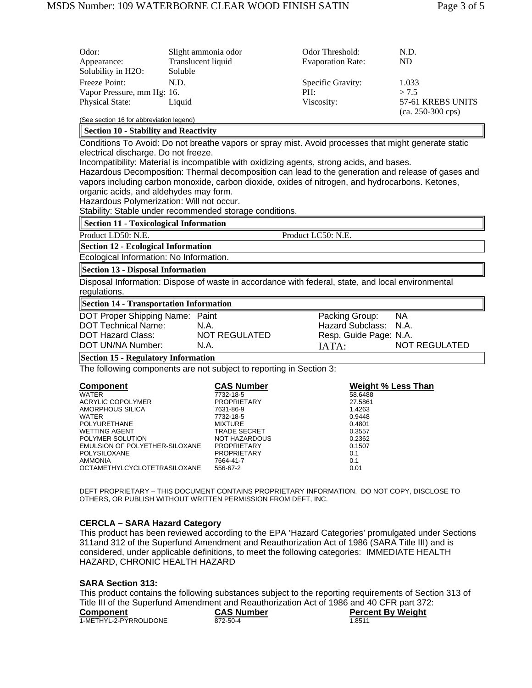| Odor:<br>Appearance:<br>Solubility in H2O:  | Slight ammonia odor<br>Translucent liquid<br>Soluble | Odor Threshold:<br><b>Evaporation Rate:</b> | N.D.<br>ND                               |
|---------------------------------------------|------------------------------------------------------|---------------------------------------------|------------------------------------------|
| Freeze Point:<br>Vapor Pressure, mm Hg: 16. | N.D.                                                 | Specific Gravity:<br>PH:                    | 1.033<br>> 7.5                           |
| <b>Physical State:</b>                      | Liquid                                               | Viscosity:                                  | 57-61 KREBS UNITS<br>$(ca. 250-300 cps)$ |
| (See section 16 for abbreviation legend)    |                                                      |                                             |                                          |

**Section 10 - Stability and Reactivity**

Conditions To Avoid: Do not breathe vapors or spray mist. Avoid processes that might generate static electrical discharge. Do not freeze.

Incompatibility: Material is incompatible with oxidizing agents, strong acids, and bases.

Hazardous Decomposition: Thermal decomposition can lead to the generation and release of gases and vapors including carbon monoxide, carbon dioxide, oxides of nitrogen, and hydrocarbons. Ketones, organic acids, and aldehydes may form.

Hazardous Polymerization: Will not occur.

Stability: Stable under recommended storage conditions.

### **Section 11 - Toxicological Information**

Product LD50: N.E. Product LC50: N.E.

**Section 12 - Ecological Information**

Ecological Information: No Information.

**Section 13 - Disposal Information**

Disposal Information: Dispose of waste in accordance with federal, state, and local environmental regulations.

**Section 14 - Transportation Information**

| DOT Proper Shipping Name: Paint |               | Packing Group:         | <b>NA</b>     |
|---------------------------------|---------------|------------------------|---------------|
| <b>DOT Technical Name:</b>      | N.A.          | Hazard Subclass: N.A.  |               |
| DOT Hazard Class:               | NOT REGULATED | Resp. Guide Page: N.A. |               |
| DOT UN/NA Number:               | N.A.          | IATA:                  | NOT REGULATED |
|                                 |               |                        |               |

# **Section 15 - Regulatory Information**

The following components are not subject to reporting in Section 3:

| <b>Component</b>               | <b>CAS Number</b>   | Weight % Less Than |
|--------------------------------|---------------------|--------------------|
| WATER                          | 7732-18-5           | 58.6488            |
| ACRYLIC COPOLYMER              | <b>PROPRIETARY</b>  | 27.5861            |
| AMORPHOUS SILICA               | 7631-86-9           | 1.4263             |
| WATER                          | 7732-18-5           | 0.9448             |
| <b>POLYURETHANE</b>            | MIXTURE             | 0.4801             |
| <b>WETTING AGENT</b>           | <b>TRADE SECRET</b> | 0.3557             |
| POLYMER SOLUTION               | NOT HAZARDOUS       | 0.2362             |
| EMULSION OF POLYETHER-SILOXANE | <b>PROPRIETARY</b>  | 0.1507             |
| <b>POLYSILOXANE</b>            | <b>PROPRIETARY</b>  | 0.1                |
| <b>AMMONIA</b>                 | 7664-41-7           | 0.1                |
| OCTAMETHYLCYCLOTETRASILOXANE   | 556-67-2            | 0.01               |

DEFT PROPRIETARY – THIS DOCUMENT CONTAINS PROPRIETARY INFORMATION. DO NOT COPY, DISCLOSE TO OTHERS, OR PUBLISH WITHOUT WRITTEN PERMISSION FROM DEFT, INC.

#### **CERCLA – SARA Hazard Category**

This product has been reviewed according to the EPA 'Hazard Categories' promulgated under Sections 311and 312 of the Superfund Amendment and Reauthorization Act of 1986 (SARA Title III) and is considered, under applicable definitions, to meet the following categories: IMMEDIATE HEALTH HAZARD, CHRONIC HEALTH HAZARD

#### **SARA Section 313:**

This product contains the following substances subject to the reporting requirements of Section 313 of Title III of the Superfund Amendment and Reauthorization Act of 1986 and 40 CFR part 372:

| Component              | <b>CAS Number</b> | <b>Percent By Weight</b> |
|------------------------|-------------------|--------------------------|
| 1-METHYL-2-PYRROLIDONE | 872-50-4          | 1.8511                   |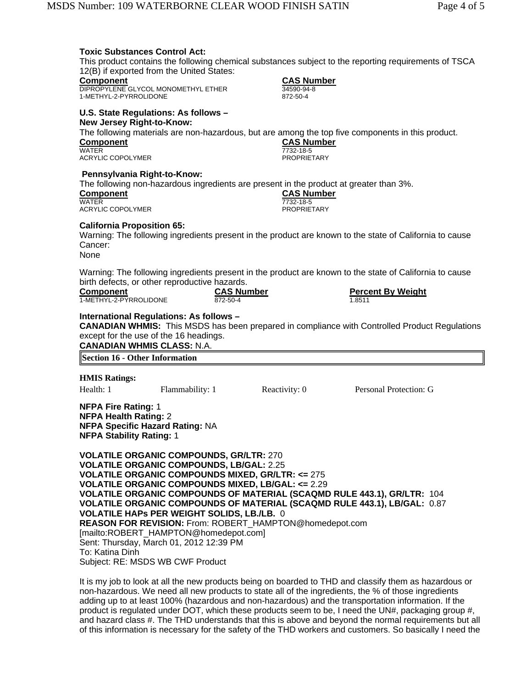| <b>Toxic Substances Control Act:</b><br>Component<br>1-METHYL-2-PYRROLIDONE                                                             | 12(B) if exported from the United States:<br>DIPROPYLENE GLYCOL MONOMETHYL ETHER                                                                                                                                                                                               | 34590-94-8<br>872-50-4                                                                                                                                                                                                                                                 | <b>CAS Number</b>                       | This product contains the following chemical substances subject to the reporting requirements of TSCA                               |
|-----------------------------------------------------------------------------------------------------------------------------------------|--------------------------------------------------------------------------------------------------------------------------------------------------------------------------------------------------------------------------------------------------------------------------------|------------------------------------------------------------------------------------------------------------------------------------------------------------------------------------------------------------------------------------------------------------------------|-----------------------------------------|-------------------------------------------------------------------------------------------------------------------------------------|
| <b>New Jersey Right-to-Know:</b><br><b>Component</b><br><b>WATER</b><br><b>ACRYLIC COPOLYMER</b>                                        | U.S. State Regulations: As follows -                                                                                                                                                                                                                                           | 7732-18-5                                                                                                                                                                                                                                                              | <b>CAS Number</b><br><b>PROPRIETARY</b> | The following materials are non-hazardous, but are among the top five components in this product.                                   |
| Pennsylvania Right-to-Know:<br><b>Component</b><br>WATER<br><b>ACRYLIC COPOLYMER</b>                                                    |                                                                                                                                                                                                                                                                                | The following non-hazardous ingredients are present in the product at greater than 3%.<br>7732-18-5                                                                                                                                                                    | <b>CAS Number</b><br><b>PROPRIETARY</b> |                                                                                                                                     |
| <b>California Proposition 65:</b><br>Cancer:<br>None                                                                                    |                                                                                                                                                                                                                                                                                |                                                                                                                                                                                                                                                                        |                                         | Warning: The following ingredients present in the product are known to the state of California to cause                             |
| <b>Component</b><br>1-METHYL-2-PYRROLIDONE                                                                                              | birth defects, or other reproductive hazards.                                                                                                                                                                                                                                  | <b>CAS Number</b><br>872-50-4                                                                                                                                                                                                                                          | 1.8511                                  | Warning: The following ingredients present in the product are known to the state of California to cause<br><b>Percent By Weight</b> |
| <b>CANADIAN WHMIS CLASS: N.A.</b><br><b>Section 16 - Other Information</b>                                                              | International Regulations: As follows -<br>except for the use of the 16 headings.                                                                                                                                                                                              |                                                                                                                                                                                                                                                                        |                                         | <b>CANADIAN WHMIS:</b> This MSDS has been prepared in compliance with Controlled Product Regulations                                |
|                                                                                                                                         |                                                                                                                                                                                                                                                                                |                                                                                                                                                                                                                                                                        |                                         |                                                                                                                                     |
| <b>HMIS Ratings:</b><br>Health: 1                                                                                                       | Flammability: 1                                                                                                                                                                                                                                                                | Reactivity: 0                                                                                                                                                                                                                                                          |                                         | Personal Protection: G                                                                                                              |
|                                                                                                                                         |                                                                                                                                                                                                                                                                                |                                                                                                                                                                                                                                                                        |                                         |                                                                                                                                     |
| <b>NFPA Fire Rating: 1</b><br><b>NFPA Health Rating: 2</b><br><b>NFPA Specific Hazard Rating: NA</b><br><b>NFPA Stability Rating: 1</b> |                                                                                                                                                                                                                                                                                |                                                                                                                                                                                                                                                                        |                                         |                                                                                                                                     |
| To: Katina Dinh                                                                                                                         | <b>VOLATILE ORGANIC COMPOUNDS, GR/LTR: 270</b><br><b>VOLATILE ORGANIC COMPOUNDS, LB/GAL: 2.25</b><br><b>VOLATILE HAPS PER WEIGHT SOLIDS, LB./LB. 0</b><br>[mailto:ROBERT_HAMPTON@homedepot.com]<br>Sent: Thursday, March 01, 2012 12:39 PM<br>Subject: RE: MSDS WB CWF Product | <b>VOLATILE ORGANIC COMPOUNDS MIXED, GR/LTR: &lt;= 275</b><br><b>VOLATILE ORGANIC COMPOUNDS MIXED, LB/GAL: &lt;= 2.29</b><br><b>VOLATILE ORGANIC COMPOUNDS OF MATERIAL (SCAQMD RULE 443.1), GR/LTR: 104</b><br>REASON FOR REVISION: From: ROBERT HAMPTON@homedepot.com |                                         | <b>VOLATILE ORGANIC COMPOUNDS OF MATERIAL (SCAQMD RULE 443.1), LB/GAL: 0.87</b>                                                     |

It is my job to look at all the new products being on boarded to THD and classify them as hazardous or non-hazardous. We need all new products to state all of the ingredients, the % of those ingredients adding up to at least 100% (hazardous and non-hazardous) and the transportation information. If the product is regulated under DOT, which these products seem to be, I need the UN#, packaging group #, and hazard class #. The THD understands that this is above and beyond the normal requirements but all of this information is necessary for the safety of the THD workers and customers. So basically I need the